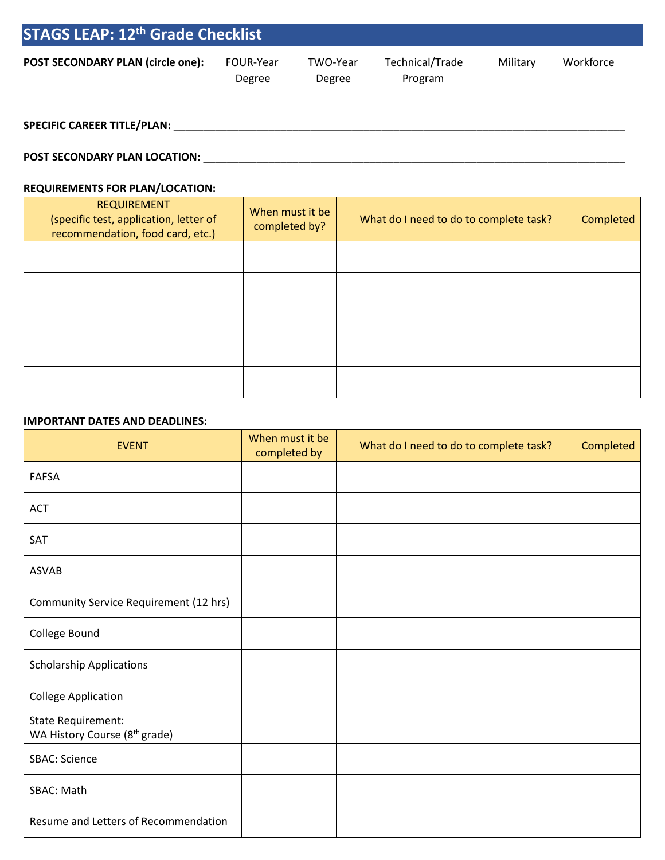| <b>STAGS LEAP: 12<sup>th</sup> Grade Checklist</b> |                     |                    |                            |          |           |  |
|----------------------------------------------------|---------------------|--------------------|----------------------------|----------|-----------|--|
| <b>POST SECONDARY PLAN (circle one):</b>           | FOUR-Year<br>Degree | TWO-Year<br>Degree | Technical/Trade<br>Program | Military | Workforce |  |

## **SPECIFIC CAREER TITLE/PLAN:** \_\_\_\_\_\_\_\_\_\_\_\_\_\_\_\_\_\_\_\_\_\_\_\_\_\_\_\_\_\_\_\_\_\_\_\_\_\_\_\_\_\_\_\_\_\_\_\_\_\_\_\_\_\_\_\_\_\_\_\_\_\_\_\_\_\_\_\_\_\_\_\_\_\_\_\_

## **POST SECONDARY PLAN LOCATION:** \_\_\_\_\_\_\_\_\_\_\_\_\_\_\_\_\_\_\_\_\_\_\_\_\_\_\_\_\_\_\_\_\_\_\_\_\_\_\_\_\_\_\_\_\_\_\_\_\_\_\_\_\_\_\_\_\_\_\_\_\_\_\_\_\_\_\_\_\_\_\_

### **REQUIREMENTS FOR PLAN/LOCATION:**

| <b>REQUIREMENT</b><br>(specific test, application, letter of<br>recommendation, food card, etc.) | When must it be<br>completed by? | What do I need to do to complete task? | Completed |
|--------------------------------------------------------------------------------------------------|----------------------------------|----------------------------------------|-----------|
|                                                                                                  |                                  |                                        |           |
|                                                                                                  |                                  |                                        |           |
|                                                                                                  |                                  |                                        |           |
|                                                                                                  |                                  |                                        |           |
|                                                                                                  |                                  |                                        |           |

#### **IMPORTANT DATES AND DEADLINES:**

| <b>EVENT</b>                                                    | When must it be<br>completed by | What do I need to do to complete task? | Completed |
|-----------------------------------------------------------------|---------------------------------|----------------------------------------|-----------|
| <b>FAFSA</b>                                                    |                                 |                                        |           |
| <b>ACT</b>                                                      |                                 |                                        |           |
| SAT                                                             |                                 |                                        |           |
| <b>ASVAB</b>                                                    |                                 |                                        |           |
| Community Service Requirement (12 hrs)                          |                                 |                                        |           |
| College Bound                                                   |                                 |                                        |           |
| <b>Scholarship Applications</b>                                 |                                 |                                        |           |
| <b>College Application</b>                                      |                                 |                                        |           |
| State Requirement:<br>WA History Course (8 <sup>th</sup> grade) |                                 |                                        |           |
| <b>SBAC: Science</b>                                            |                                 |                                        |           |
| SBAC: Math                                                      |                                 |                                        |           |
| Resume and Letters of Recommendation                            |                                 |                                        |           |